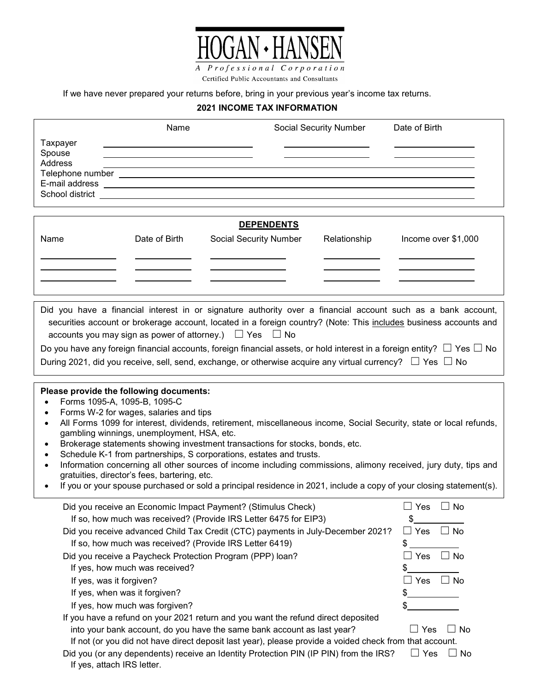

Certified Public Accountants and Consultants

If we have never prepared your returns before, bring in your previous year's income tax returns.

## **2021 INCOME TAX INFORMATION**

|                                                                                                                                                                                                                                                                                                                                                                                                                                                                                                                                                                                                                                                                                                                                                                               | Name                                                                                                    |                               |  | Social Security Number | Date of Birth           |
|-------------------------------------------------------------------------------------------------------------------------------------------------------------------------------------------------------------------------------------------------------------------------------------------------------------------------------------------------------------------------------------------------------------------------------------------------------------------------------------------------------------------------------------------------------------------------------------------------------------------------------------------------------------------------------------------------------------------------------------------------------------------------------|---------------------------------------------------------------------------------------------------------|-------------------------------|--|------------------------|-------------------------|
| Taxpayer<br>Spouse<br>Address                                                                                                                                                                                                                                                                                                                                                                                                                                                                                                                                                                                                                                                                                                                                                 |                                                                                                         |                               |  |                        |                         |
|                                                                                                                                                                                                                                                                                                                                                                                                                                                                                                                                                                                                                                                                                                                                                                               |                                                                                                         |                               |  |                        |                         |
|                                                                                                                                                                                                                                                                                                                                                                                                                                                                                                                                                                                                                                                                                                                                                                               |                                                                                                         | <b>DEPENDENTS</b>             |  |                        |                         |
| Name                                                                                                                                                                                                                                                                                                                                                                                                                                                                                                                                                                                                                                                                                                                                                                          | Date of Birth                                                                                           | <b>Social Security Number</b> |  | Relationship           | Income over \$1,000     |
|                                                                                                                                                                                                                                                                                                                                                                                                                                                                                                                                                                                                                                                                                                                                                                               |                                                                                                         |                               |  |                        |                         |
|                                                                                                                                                                                                                                                                                                                                                                                                                                                                                                                                                                                                                                                                                                                                                                               |                                                                                                         |                               |  |                        |                         |
|                                                                                                                                                                                                                                                                                                                                                                                                                                                                                                                                                                                                                                                                                                                                                                               |                                                                                                         |                               |  |                        |                         |
|                                                                                                                                                                                                                                                                                                                                                                                                                                                                                                                                                                                                                                                                                                                                                                               |                                                                                                         |                               |  |                        |                         |
| Did you have a financial interest in or signature authority over a financial account such as a bank account,<br>securities account or brokerage account, located in a foreign country? (Note: This includes business accounts and<br>accounts you may sign as power of attorney.) $\Box$ Yes $\Box$ No<br>Do you have any foreign financial accounts, foreign financial assets, or hold interest in a foreign entity? $\Box$ Yes $\Box$ No<br>During 2021, did you receive, sell, send, exchange, or otherwise acquire any virtual currency? $\Box$ Yes $\Box$ No                                                                                                                                                                                                             |                                                                                                         |                               |  |                        |                         |
|                                                                                                                                                                                                                                                                                                                                                                                                                                                                                                                                                                                                                                                                                                                                                                               |                                                                                                         |                               |  |                        |                         |
| Please provide the following documents:<br>Forms 1095-A, 1095-B, 1095-C<br>$\bullet$<br>Forms W-2 for wages, salaries and tips<br>$\bullet$<br>All Forms 1099 for interest, dividends, retirement, miscellaneous income, Social Security, state or local refunds,<br>$\bullet$<br>gambling winnings, unemployment, HSA, etc.<br>Brokerage statements showing investment transactions for stocks, bonds, etc.<br>Schedule K-1 from partnerships, S corporations, estates and trusts.<br>Information concerning all other sources of income including commissions, alimony received, jury duty, tips and<br>gratuities, director's fees, bartering, etc.<br>If you or your spouse purchased or sold a principal residence in 2021, include a copy of your closing statement(s). |                                                                                                         |                               |  |                        |                         |
|                                                                                                                                                                                                                                                                                                                                                                                                                                                                                                                                                                                                                                                                                                                                                                               | Did you receive an Economic Impact Payment? (Stimulus Check)                                            |                               |  |                        | $\Box$ Yes<br>$\Box$ No |
|                                                                                                                                                                                                                                                                                                                                                                                                                                                                                                                                                                                                                                                                                                                                                                               | If so, how much was received? (Provide IRS Letter 6475 for EIP3)                                        |                               |  |                        | \$                      |
| Did you receive advanced Child Tax Credit (CTC) payments in July-December 2021?<br>$\Box$<br>Yes<br>. No<br>$\Box$                                                                                                                                                                                                                                                                                                                                                                                                                                                                                                                                                                                                                                                            |                                                                                                         |                               |  |                        |                         |
| \$<br>If so, how much was received? (Provide IRS Letter 6419)                                                                                                                                                                                                                                                                                                                                                                                                                                                                                                                                                                                                                                                                                                                 |                                                                                                         |                               |  |                        |                         |
| Did you receive a Paycheck Protection Program (PPP) loan?<br>Yes<br>∐ No                                                                                                                                                                                                                                                                                                                                                                                                                                                                                                                                                                                                                                                                                                      |                                                                                                         |                               |  |                        |                         |
|                                                                                                                                                                                                                                                                                                                                                                                                                                                                                                                                                                                                                                                                                                                                                                               | If yes, how much was received?                                                                          |                               |  |                        | \$                      |
| If yes, was it forgiven?                                                                                                                                                                                                                                                                                                                                                                                                                                                                                                                                                                                                                                                                                                                                                      |                                                                                                         |                               |  |                        | $\Box$ No<br>Yes        |
|                                                                                                                                                                                                                                                                                                                                                                                                                                                                                                                                                                                                                                                                                                                                                                               | If yes, when was it forgiven?                                                                           |                               |  |                        |                         |
|                                                                                                                                                                                                                                                                                                                                                                                                                                                                                                                                                                                                                                                                                                                                                                               | If yes, how much was forgiven?                                                                          |                               |  |                        |                         |
|                                                                                                                                                                                                                                                                                                                                                                                                                                                                                                                                                                                                                                                                                                                                                                               | If you have a refund on your 2021 return and you want the refund direct deposited                       |                               |  |                        |                         |
|                                                                                                                                                                                                                                                                                                                                                                                                                                                                                                                                                                                                                                                                                                                                                                               | into your bank account, do you have the same bank account as last year?                                 |                               |  |                        | $\Box$ Yes<br>∃ No      |
|                                                                                                                                                                                                                                                                                                                                                                                                                                                                                                                                                                                                                                                                                                                                                                               | If not (or you did not have direct deposit last year), please provide a voided check from that account. |                               |  |                        |                         |
| If yes, attach IRS letter.                                                                                                                                                                                                                                                                                                                                                                                                                                                                                                                                                                                                                                                                                                                                                    | Did you (or any dependents) receive an Identity Protection PIN (IP PIN) from the IRS?                   |                               |  |                        | $\Box$ Yes<br>$\Box$ No |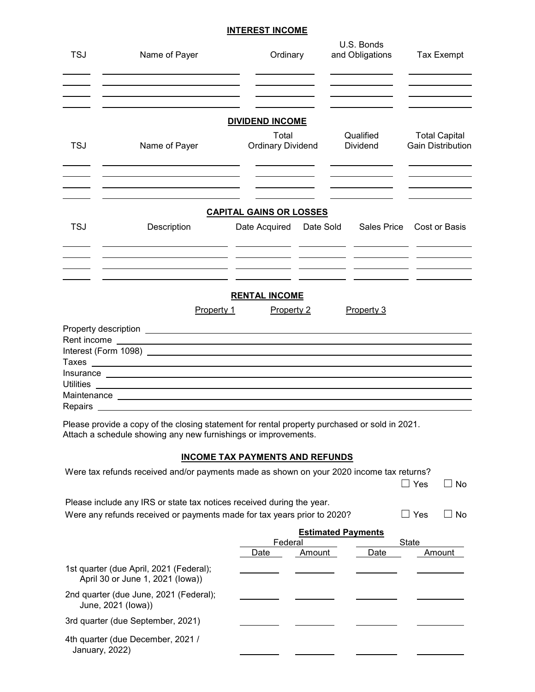#### **INTEREST INCOME**

| <b>TSJ</b> | Name of Payer                                                                                                                                                                                                                       | Ordinary                                        | U.S. Bonds<br>and Obligations | <b>Tax Exempt</b>         |
|------------|-------------------------------------------------------------------------------------------------------------------------------------------------------------------------------------------------------------------------------------|-------------------------------------------------|-------------------------------|---------------------------|
|            |                                                                                                                                                                                                                                     | <b>DIVIDEND INCOME</b><br>Total                 | Qualified                     | <b>Total Capital</b>      |
| <b>TSJ</b> | Name of Payer                                                                                                                                                                                                                       | <b>Ordinary Dividend</b>                        | Dividend                      | <b>Gain Distribution</b>  |
| <b>TSJ</b> | Description                                                                                                                                                                                                                         | <b>CAPITAL GAINS OR LOSSES</b><br>Date Acquired | Date Sold                     | Sales Price Cost or Basis |
|            |                                                                                                                                                                                                                                     |                                                 |                               |                           |
|            | Property 1                                                                                                                                                                                                                          | <b>RENTAL INCOME</b><br>Property 2              | Property 3                    |                           |
|            |                                                                                                                                                                                                                                     |                                                 |                               |                           |
|            |                                                                                                                                                                                                                                     |                                                 |                               |                           |
|            |                                                                                                                                                                                                                                     |                                                 |                               |                           |
|            |                                                                                                                                                                                                                                     |                                                 |                               |                           |
|            | Insurance <u>experience</u> and the second second second second second second second second second second second second second second second second second second second second second second second second second second second se |                                                 |                               |                           |
|            |                                                                                                                                                                                                                                     |                                                 |                               |                           |
|            | Maintenance Learner and the contract of the contract of the contract of the contract of the contract of the contract of the contract of the contract of the contract of the contract of the contract of the contract of the co      |                                                 |                               |                           |
|            | Repairs <b>Exercise 2018 Repairs</b>                                                                                                                                                                                                |                                                 |                               |                           |
|            | Please provide a copy of the closing statement for rental property purchased or sold in 2021.<br>Attach a schedule showing any new furnishings or improvements.                                                                     | INCOME TAY PAYMENTS AND REFIINDS                |                               |                           |

#### **INCOME TAX PAYMENTS AND REFUNDS**

| Were tax refunds received and/or payments made as shown on your 2020 income tax returns? |                           |        |      |       |        |
|------------------------------------------------------------------------------------------|---------------------------|--------|------|-------|--------|
|                                                                                          |                           |        |      | Yes   | No.    |
| Please include any IRS or state tax notices received during the year.                    |                           |        |      |       |        |
| Were any refunds received or payments made for tax years prior to 2020?                  |                           |        |      | Yes   | No.    |
|                                                                                          | <b>Estimated Payments</b> |        |      |       |        |
|                                                                                          | Federal                   |        |      | State |        |
|                                                                                          | Date                      | Amount | Date |       | Amount |
| 1st quarter (due April, 2021 (Federal);<br>April 30 or June 1, 2021 (lowa))              |                           |        |      |       |        |
| 2nd quarter (due June, 2021 (Federal);<br>June, 2021 (lowa))                             |                           |        |      |       |        |
| 3rd quarter (due September, 2021)                                                        |                           |        |      |       |        |
| 4th quarter (due December, 2021 /<br>January, 2022)                                      |                           |        |      |       |        |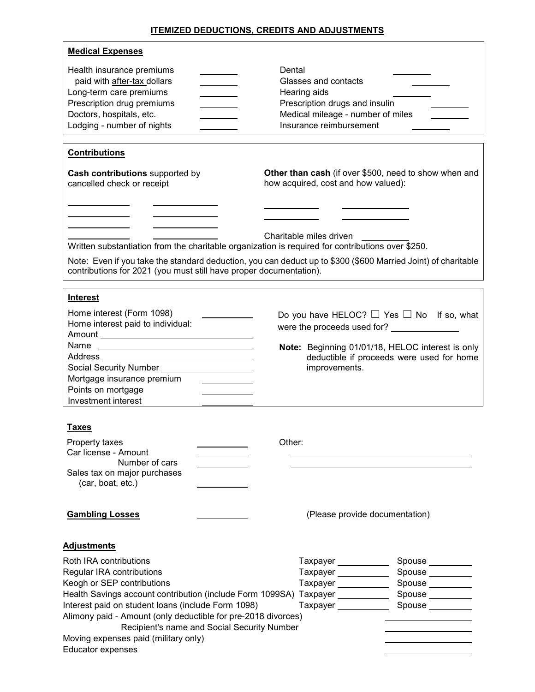## **ITEMIZED DEDUCTIONS, CREDITS AND ADJUSTMENTS**

| <b>Medical Expenses</b>                                                                                                                                                                                                                                                                                                     |                                                                                                                                                                                                                                                           |  |  |
|-----------------------------------------------------------------------------------------------------------------------------------------------------------------------------------------------------------------------------------------------------------------------------------------------------------------------------|-----------------------------------------------------------------------------------------------------------------------------------------------------------------------------------------------------------------------------------------------------------|--|--|
| Health insurance premiums<br>paid with after-tax dollars<br>Long-term care premiums<br>Prescription drug premiums<br>Doctors, hospitals, etc.<br>Lodging - number of nights                                                                                                                                                 | Dental<br>Glasses and contacts<br>Hearing aids<br>Prescription drugs and insulin<br>Medical mileage - number of miles<br>Insurance reimbursement                                                                                                          |  |  |
| <b>Contributions</b>                                                                                                                                                                                                                                                                                                        |                                                                                                                                                                                                                                                           |  |  |
| Cash contributions supported by<br>cancelled check or receipt                                                                                                                                                                                                                                                               | Other than cash (if over \$500, need to show when and<br>how acquired, cost and how valued):                                                                                                                                                              |  |  |
| Written substantiation from the charitable organization is required for contributions over \$250.<br>contributions for 2021 (you must still have proper documentation).                                                                                                                                                     | Charitable miles driven<br>Note: Even if you take the standard deduction, you can deduct up to \$300 (\$600 Married Joint) of charitable                                                                                                                  |  |  |
| <b>Interest</b>                                                                                                                                                                                                                                                                                                             |                                                                                                                                                                                                                                                           |  |  |
| Home interest (Form 1098)<br>Home interest paid to individual:<br>Social Security Number _____________________<br>Mortgage insurance premium<br>Points on mortgage<br>Investment interest                                                                                                                                   | Do you have HELOC? $\Box$ Yes $\Box$ No If so, what<br>Note: Beginning 01/01/18, HELOC interest is only<br>deductible if proceeds were used for home<br>improvements.                                                                                     |  |  |
| Taxes<br>Property taxes<br>Car license - Amount<br>Number of cars<br>Sales tax on major purchases<br>(car, boat, etc.)                                                                                                                                                                                                      | Other:                                                                                                                                                                                                                                                    |  |  |
| <b>Gambling Losses</b>                                                                                                                                                                                                                                                                                                      | (Please provide documentation)                                                                                                                                                                                                                            |  |  |
| <b>Adjustments</b>                                                                                                                                                                                                                                                                                                          |                                                                                                                                                                                                                                                           |  |  |
| Roth IRA contributions<br>Regular IRA contributions<br>Keogh or SEP contributions<br>Interest paid on student loans (include Form 1098)<br>Alimony paid - Amount (only deductible for pre-2018 divorces)<br>Recipient's name and Social Security Number<br>Moving expenses paid (military only)<br><b>Educator expenses</b> | Taxpayer ___________<br>Spouse<br><u> and</u><br><u>spouse</u><br>Taxpayer ___________<br>Spouse ________<br>Taxpayer ___________<br>Spouse ________<br>Health Savings account contribution (include Form 1099SA) Taxpayer _____________ Spouse _________ |  |  |